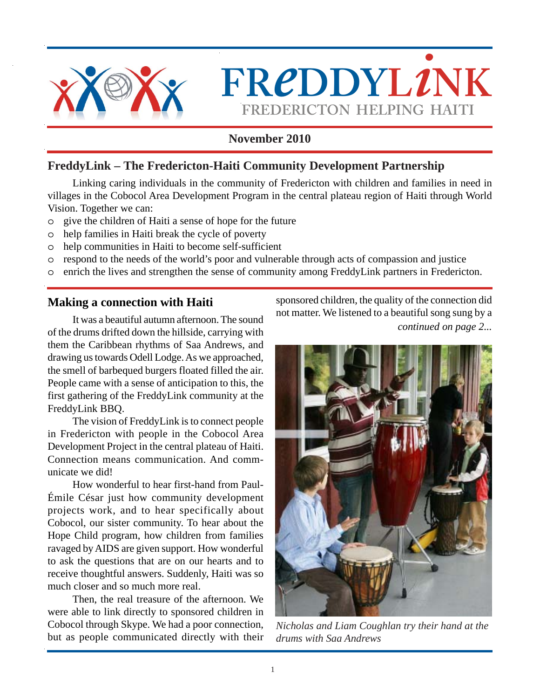

 $FREDDYL2NK$ **FREDERICTON HELPING HAITI**

# **November 2010**

# **FreddyLink – The Fredericton-Haiti Community Development Partnership**

Linking caring individuals in the community of Fredericton with children and families in need in villages in the Cobocol Area Development Program in the central plateau region of Haiti through World Vision. Together we can:

- o give the children of Haiti a sense of hope for the future
- o help families in Haiti break the cycle of poverty
- o help communities in Haiti to become self-sufficient
- o respond to the needs of the world's poor and vulnerable through acts of compassion and justice
- o enrich the lives and strengthen the sense of community among FreddyLink partners in Fredericton.

# **Making a connection with Haiti**

It was a beautiful autumn afternoon. The sound of the drums drifted down the hillside, carrying with them the Caribbean rhythms of Saa Andrews, and drawing us towards Odell Lodge. As we approached, the smell of barbequed burgers floated filled the air. People came with a sense of anticipation to this, the first gathering of the FreddyLink community at the FreddyLink BBQ.

The vision of FreddyLink is to connect people in Fredericton with people in the Cobocol Area Development Project in the central plateau of Haiti. Connection means communication. And communicate we did!

How wonderful to hear first-hand from Paul-Émile César just how community development projects work, and to hear specifically about Cobocol, our sister community. To hear about the Hope Child program, how children from families ravaged by AIDS are given support. How wonderful to ask the questions that are on our hearts and to receive thoughtful answers. Suddenly, Haiti was so much closer and so much more real.

Then, the real treasure of the afternoon. We were able to link directly to sponsored children in Cobocol through Skype. We had a poor connection, but as people communicated directly with their sponsored children, the quality of the connection did not matter. We listened to a beautiful song sung by a *continued on page 2...*



*Nicholas and Liam Coughlan try their hand at the drums with Saa Andrews*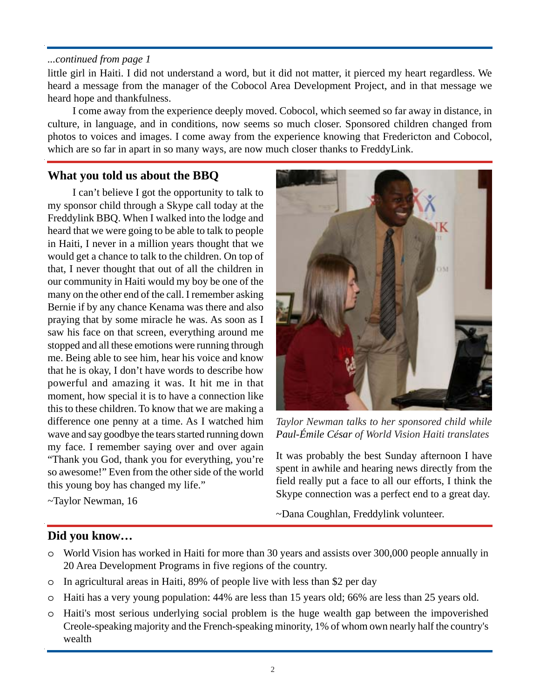#### *...continued from page 1*

little girl in Haiti. I did not understand a word, but it did not matter, it pierced my heart regardless. We heard a message from the manager of the Cobocol Area Development Project, and in that message we heard hope and thankfulness.

I come away from the experience deeply moved. Cobocol, which seemed so far away in distance, in culture, in language, and in conditions, now seems so much closer. Sponsored children changed from photos to voices and images. I come away from the experience knowing that Fredericton and Cobocol, which are so far in apart in so many ways, are now much closer thanks to FreddyLink.

# **What you told us about the BBQ**

I can't believe I got the opportunity to talk to my sponsor child through a Skype call today at the Freddylink BBQ. When I walked into the lodge and heard that we were going to be able to talk to people in Haiti, I never in a million years thought that we would get a chance to talk to the children. On top of that, I never thought that out of all the children in our community in Haiti would my boy be one of the many on the other end of the call. I remember asking Bernie if by any chance Kenama was there and also praying that by some miracle he was. As soon as I saw his face on that screen, everything around me stopped and all these emotions were running through me. Being able to see him, hear his voice and know that he is okay, I don't have words to describe how powerful and amazing it was. It hit me in that moment, how special it is to have a connection like this to these children. To know that we are making a difference one penny at a time. As I watched him wave and say goodbye the tears started running down my face. I remember saying over and over again "Thank you God, thank you for everything, you're so awesome!" Even from the other side of the world this young boy has changed my life."

~Taylor Newman, 16



*Taylor Newman talks to her sponsored child while Paul-Émile César of World Vision Haiti translates*

It was probably the best Sunday afternoon I have spent in awhile and hearing news directly from the field really put a face to all our efforts, I think the Skype connection was a perfect end to a great day.

~Dana Coughlan, Freddylink volunteer.

### **Did you know…**

- o World Vision has worked in Haiti for more than 30 years and assists over 300,000 people annually in 20 Area Development Programs in five regions of the country.
- o In agricultural areas in Haiti, 89% of people live with less than \$2 per day
- o Haiti has a very young population: 44% are less than 15 years old; 66% are less than 25 years old.
- o Haiti's most serious underlying social problem is the huge wealth gap between the impoverished Creole-speaking majority and the French-speaking minority, 1% of whom own nearly half the country's wealth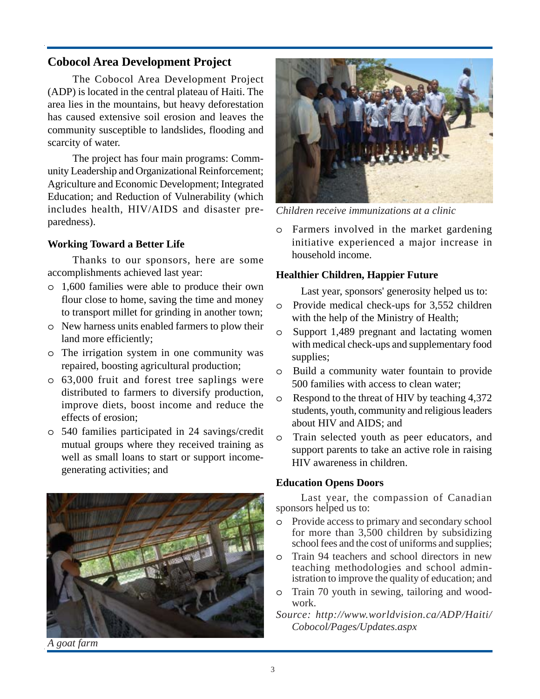## **Cobocol Area Development Project**

The Cobocol Area Development Project (ADP) is located in the central plateau of Haiti. The area lies in the mountains, but heavy deforestation has caused extensive soil erosion and leaves the community susceptible to landslides, flooding and scarcity of water.

The project has four main programs: Community Leadership and Organizational Reinforcement; Agriculture and Economic Development; Integrated Education; and Reduction of Vulnerability (which includes health, HIV/AIDS and disaster preparedness).

#### **Working Toward a Better Life**

Thanks to our sponsors, here are some accomplishments achieved last year:

- o 1,600 families were able to produce their own flour close to home, saving the time and money to transport millet for grinding in another town;
- o New harness units enabled farmers to plow their land more efficiently;
- o The irrigation system in one community was repaired, boosting agricultural production;
- o 63,000 fruit and forest tree saplings were distributed to farmers to diversify production, improve diets, boost income and reduce the effects of erosion;
- o 540 families participated in 24 savings/credit mutual groups where they received training as well as small loans to start or support incomegenerating activities; and



*Children receive immunizations at a clinic*

o Farmers involved in the market gardening initiative experienced a major increase in household income.

#### **Healthier Children, Happier Future**

Last year, sponsors' generosity helped us to:

- o Provide medical check-ups for 3,552 children with the help of the Ministry of Health;
- o Support 1,489 pregnant and lactating women with medical check-ups and supplementary food supplies;
- o Build a community water fountain to provide 500 families with access to clean water;
- o Respond to the threat of HIV by teaching 4,372 students, youth, community and religious leaders about HIV and AIDS; and
- o Train selected youth as peer educators, and support parents to take an active role in raising HIV awareness in children.

#### **Education Opens Doors**

Last year, the compassion of Canadian sponsors helped us to:

- o Provide access to primary and secondary school for more than 3,500 children by subsidizing school fees and the cost of uniforms and supplies;
- o Train 94 teachers and school directors in new teaching methodologies and school administration to improve the quality of education; and
- o Train 70 youth in sewing, tailoring and woodwork.

*Source: http://www.worldvision.ca/ADP/Haiti/ Cobocol/Pages/Updates.aspx*

*A goat farm*